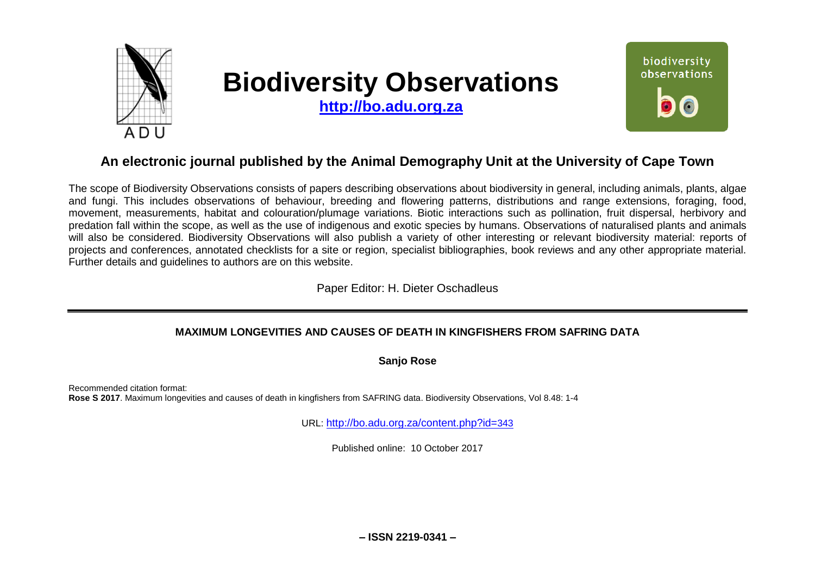

# **Biodiversity Observations**

**[http://bo.adu.org.za](http://bo.adu.org.za/)**



# **An electronic journal published by the Animal Demography Unit at the University of Cape Town**

The scope of Biodiversity Observations consists of papers describing observations about biodiversity in general, including animals, plants, algae and fungi. This includes observations of behaviour, breeding and flowering patterns, distributions and range extensions, foraging, food, movement, measurements, habitat and colouration/plumage variations. Biotic interactions such as pollination, fruit dispersal, herbivory and predation fall within the scope, as well as the use of indigenous and exotic species by humans. Observations of naturalised plants and animals will also be considered. Biodiversity Observations will also publish a variety of other interesting or relevant biodiversity material: reports of projects and conferences, annotated checklists for a site or region, specialist bibliographies, book reviews and any other appropriate material. Further details and guidelines to authors are on this website.

Paper Editor: H. Dieter Oschadleus

# **MAXIMUM LONGEVITIES AND CAUSES OF DEATH IN KINGFISHERS FROM SAFRING DATA**

**Sanjo Rose** 

Recommended citation format: **Rose S 2017**. Maximum longevities and causes of death in kingfishers from SAFRING data. Biodiversity Observations, Vol 8.48: 1-4

URL: [http://bo.adu.org.za/content.php?id=](http://bo.adu.org.za/content.php?id=343)343

Published online: 10 October 2017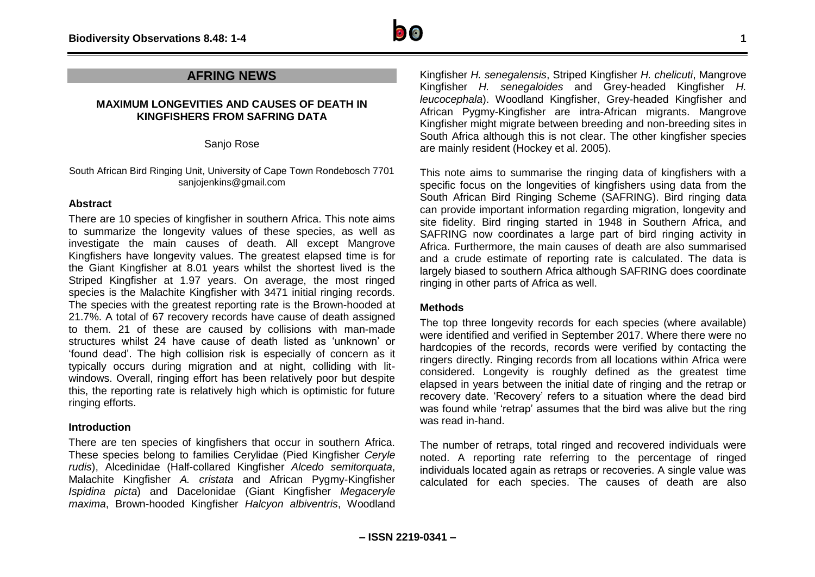

# **AFRING NEWS**

#### **MAXIMUM LONGEVITIES AND CAUSES OF DEATH IN KINGFISHERS FROM SAFRING DATA**

Sanjo Rose

South African Bird Ringing Unit, University of Cape Town Rondebosch 7701 sanjojenkins@gmail.com

### **Abstract**

There are 10 species of kingfisher in southern Africa. This note aims to summarize the longevity values of these species, as well as investigate the main causes of death. All except Mangrove Kingfishers have longevity values. The greatest elapsed time is for the Giant Kingfisher at 8.01 years whilst the shortest lived is the Striped Kingfisher at 1.97 years. On average, the most ringed species is the Malachite Kingfisher with 3471 initial ringing records. The species with the greatest reporting rate is the Brown-hooded at 21.7%. A total of 67 recovery records have cause of death assigned to them. 21 of these are caused by collisions with man-made structures whilst 24 have cause of death listed as 'unknown' or 'found dead'. The high collision risk is especially of concern as it typically occurs during migration and at night, colliding with litwindows. Overall, ringing effort has been relatively poor but despite this, the reporting rate is relatively high which is optimistic for future ringing efforts.

## **Introduction**

There are ten species of kingfishers that occur in southern Africa. These species belong to families Cerylidae (Pied Kingfisher *Ceryle rudis*), Alcedinidae (Half-collared Kingfisher *Alcedo semitorquata*, Malachite Kingfisher *A. cristata* and African Pygmy-Kingfisher *Ispidina picta*) and Dacelonidae (Giant Kingfisher *Megaceryle maxima*, Brown-hooded Kingfisher *Halcyon albiventris*, Woodland

Kingfisher *H. senegalensis*, Striped Kingfisher *H. chelicuti*, Mangrove Kingfisher *H. senegaloides* and Grey-headed Kingfisher *H. leucocephala*). Woodland Kingfisher, Grey-headed Kingfisher and African Pygmy-Kingfisher are intra-African migrants. Mangrove Kingfisher might migrate between breeding and non-breeding sites in South Africa although this is not clear. The other kingfisher species are mainly resident (Hockey et al. 2005).

This note aims to summarise the ringing data of kingfishers with a specific focus on the longevities of kingfishers using data from the South African Bird Ringing Scheme (SAFRING). Bird ringing data can provide important information regarding migration, longevity and site fidelity. Bird ringing started in 1948 in Southern Africa, and SAFRING now coordinates a large part of bird ringing activity in Africa. Furthermore, the main causes of death are also summarised and a crude estimate of reporting rate is calculated. The data is largely biased to southern Africa although SAFRING does coordinate ringing in other parts of Africa as well.

#### **Methods**

The top three longevity records for each species (where available) were identified and verified in September 2017. Where there were no hardcopies of the records, records were verified by contacting the ringers directly. Ringing records from all locations within Africa were considered. Longevity is roughly defined as the greatest time elapsed in years between the initial date of ringing and the retrap or recovery date. 'Recovery' refers to a situation where the dead bird was found while 'retrap' assumes that the bird was alive but the ring was read in-hand.

The number of retraps, total ringed and recovered individuals were noted. A reporting rate referring to the percentage of ringed individuals located again as retraps or recoveries. A single value was calculated for each species. The causes of death are also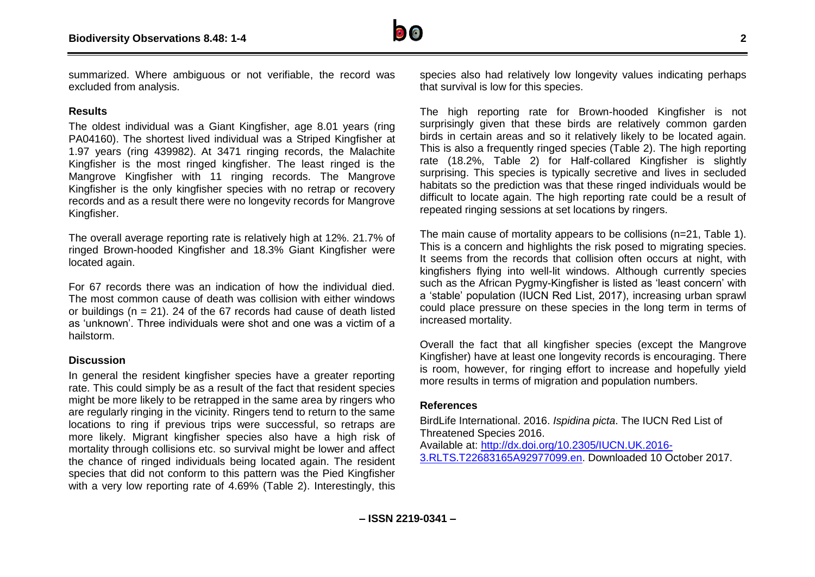

summarized. Where ambiguous or not verifiable, the record was excluded from analysis.

#### **Results**

The oldest individual was a Giant Kingfisher, age 8.01 years (ring PA04160). The shortest lived individual was a Striped Kingfisher at 1.97 years (ring 439982). At 3471 ringing records, the Malachite Kingfisher is the most ringed kingfisher. The least ringed is the Mangrove Kingfisher with 11 ringing records. The Mangrove Kingfisher is the only kingfisher species with no retrap or recovery records and as a result there were no longevity records for Mangrove Kingfisher.

The overall average reporting rate is relatively high at 12%. 21.7% of ringed Brown-hooded Kingfisher and 18.3% Giant Kingfisher were located again.

For 67 records there was an indication of how the individual died. The most common cause of death was collision with either windows or buildings ( $n = 21$ ). 24 of the 67 records had cause of death listed as 'unknown'. Three individuals were shot and one was a victim of a hailstorm.

#### **Discussion**

In general the resident kingfisher species have a greater reporting rate. This could simply be as a result of the fact that resident species might be more likely to be retrapped in the same area by ringers who are regularly ringing in the vicinity. Ringers tend to return to the same locations to ring if previous trips were successful, so retraps are more likely. Migrant kingfisher species also have a high risk of mortality through collisions etc. so survival might be lower and affect the chance of ringed individuals being located again. The resident species that did not conform to this pattern was the Pied Kingfisher with a very low reporting rate of 4.69% (Table 2). Interestingly, this

species also had relatively low longevity values indicating perhaps that survival is low for this species.

The high reporting rate for Brown-hooded Kingfisher is not surprisingly given that these birds are relatively common garden birds in certain areas and so it relatively likely to be located again. This is also a frequently ringed species (Table 2). The high reporting rate (18.2%, Table 2) for Half-collared Kingfisher is slightly surprising. This species is typically secretive and lives in secluded habitats so the prediction was that these ringed individuals would be difficult to locate again. The high reporting rate could be a result of repeated ringing sessions at set locations by ringers.

The main cause of mortality appears to be collisions (n=21, Table 1). This is a concern and highlights the risk posed to migrating species. It seems from the records that collision often occurs at night, with kingfishers flying into well-lit windows. Although currently species such as the African Pygmy-Kingfisher is listed as 'least concern' with a 'stable' population (IUCN Red List, 2017), increasing urban sprawl could place pressure on these species in the long term in terms of increased mortality.

Overall the fact that all kingfisher species (except the Mangrove Kingfisher) have at least one longevity records is encouraging. There is room, however, for ringing effort to increase and hopefully yield more results in terms of migration and population numbers.

#### **References**

BirdLife International. 2016. *Ispidina picta*. The IUCN Red List of Threatened Species 2016. Available at: [http://dx.doi.org/10.2305/IUCN.UK.2016-](http://dx.doi.org/10.2305/IUCN.UK.2016-3.RLTS.T22683165A92977099.en) [3.RLTS.T22683165A92977099.en.](http://dx.doi.org/10.2305/IUCN.UK.2016-3.RLTS.T22683165A92977099.en) Downloaded 10 October 2017.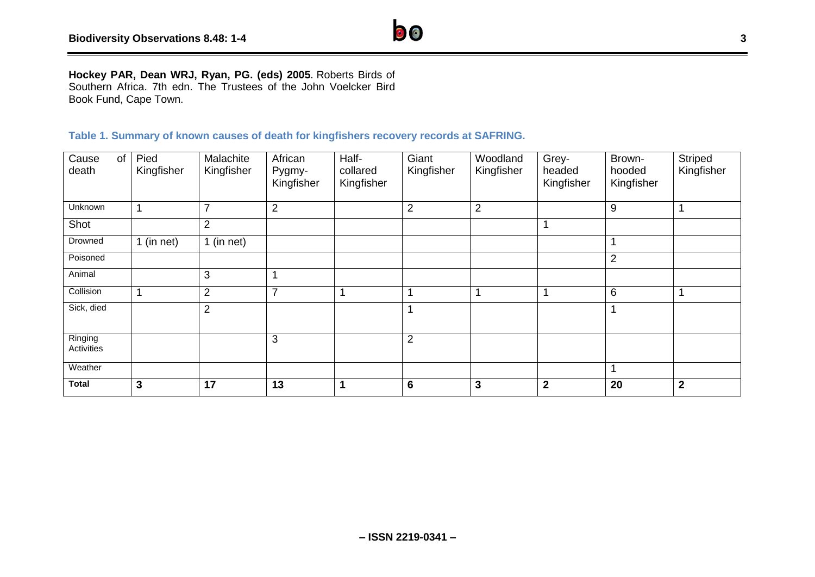

# **Table 1. Summary of known causes of death for kingfishers recovery records at SAFRING.**

| Cause<br>of<br>death  | Pied<br>Kingfisher | Malachite<br>Kingfisher | African<br>Pygmy-<br>Kingfisher | Half-<br>collared<br>Kingfisher | Giant<br>Kingfisher | Woodland<br>Kingfisher | Grey-<br>headed<br>Kingfisher | Brown-<br>hooded<br>Kingfisher | Striped<br>Kingfisher |
|-----------------------|--------------------|-------------------------|---------------------------------|---------------------------------|---------------------|------------------------|-------------------------------|--------------------------------|-----------------------|
|                       |                    |                         |                                 |                                 |                     |                        |                               |                                |                       |
| Unknown               | 1                  | $\overline{7}$          | $\overline{2}$                  |                                 | $\overline{2}$      | $\overline{2}$         |                               | 9                              |                       |
| Shot                  |                    | $\overline{2}$          |                                 |                                 |                     |                        |                               |                                |                       |
| Drowned               | 1 (in net)         | 1 (in net)              |                                 |                                 |                     |                        |                               |                                |                       |
| Poisoned              |                    |                         |                                 |                                 |                     |                        |                               | $\overline{2}$                 |                       |
| Animal                |                    | 3                       |                                 |                                 |                     |                        |                               |                                |                       |
| Collision             | 1                  | $\overline{2}$          | 7                               | 1                               |                     |                        |                               | 6                              |                       |
| Sick, died            |                    | $\overline{2}$          |                                 |                                 | 1                   |                        |                               |                                |                       |
|                       |                    |                         |                                 |                                 |                     |                        |                               |                                |                       |
| Ringing<br>Activities |                    |                         | 3                               |                                 | $\overline{2}$      |                        |                               |                                |                       |
| Weather               |                    |                         |                                 |                                 |                     |                        |                               | 4                              |                       |
| <b>Total</b>          | 3                  | 17                      | 13                              | 1                               | $6\phantom{1}$      | 3                      | $\mathbf{2}$                  | 20                             | $\mathbf{2}$          |